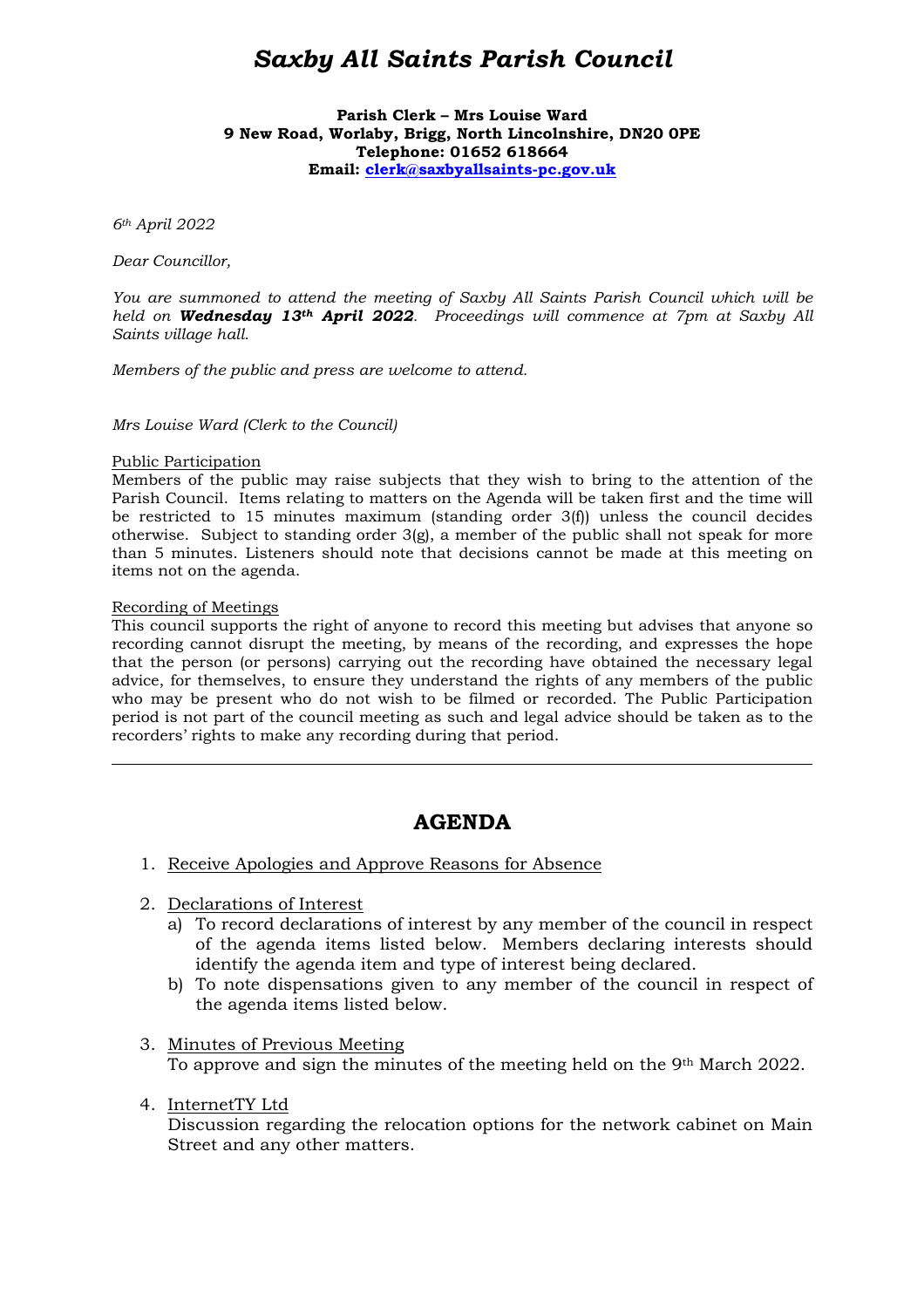# *Saxby All Saints Parish Council*

**Parish Clerk – Mrs Louise Ward 9 New Road, Worlaby, Brigg, North Lincolnshire, DN20 0PE Telephone: 01652 618664 Email: clerk@saxbyallsaints-pc.gov.uk**

*6th April 2022* 

*Dear Councillor,* 

*You are summoned to attend the meeting of Saxby All Saints Parish Council which will be held on Wednesday 13th April 2022. Proceedings will commence at 7pm at Saxby All Saints village hall.* 

*Members of the public and press are welcome to attend.* 

*Mrs Louise Ward (Clerk to the Council)* 

#### Public Participation

Members of the public may raise subjects that they wish to bring to the attention of the Parish Council. Items relating to matters on the Agenda will be taken first and the time will be restricted to 15 minutes maximum (standing order 3(f)) unless the council decides otherwise. Subject to standing order 3(g), a member of the public shall not speak for more than 5 minutes. Listeners should note that decisions cannot be made at this meeting on items not on the agenda.

#### Recording of Meetings

 $\overline{a}$ 

This council supports the right of anyone to record this meeting but advises that anyone so recording cannot disrupt the meeting, by means of the recording, and expresses the hope that the person (or persons) carrying out the recording have obtained the necessary legal advice, for themselves, to ensure they understand the rights of any members of the public who may be present who do not wish to be filmed or recorded. The Public Participation period is not part of the council meeting as such and legal advice should be taken as to the recorders' rights to make any recording during that period.

## **AGENDA**

- 1. Receive Apologies and Approve Reasons for Absence
- 2. Declarations of Interest
	- a) To record declarations of interest by any member of the council in respect of the agenda items listed below. Members declaring interests should identify the agenda item and type of interest being declared.
	- b) To note dispensations given to any member of the council in respect of the agenda items listed below.
- 3. Minutes of Previous Meeting To approve and sign the minutes of the meeting held on the 9th March 2022.
- 4. InternetTY Ltd

Discussion regarding the relocation options for the network cabinet on Main Street and any other matters.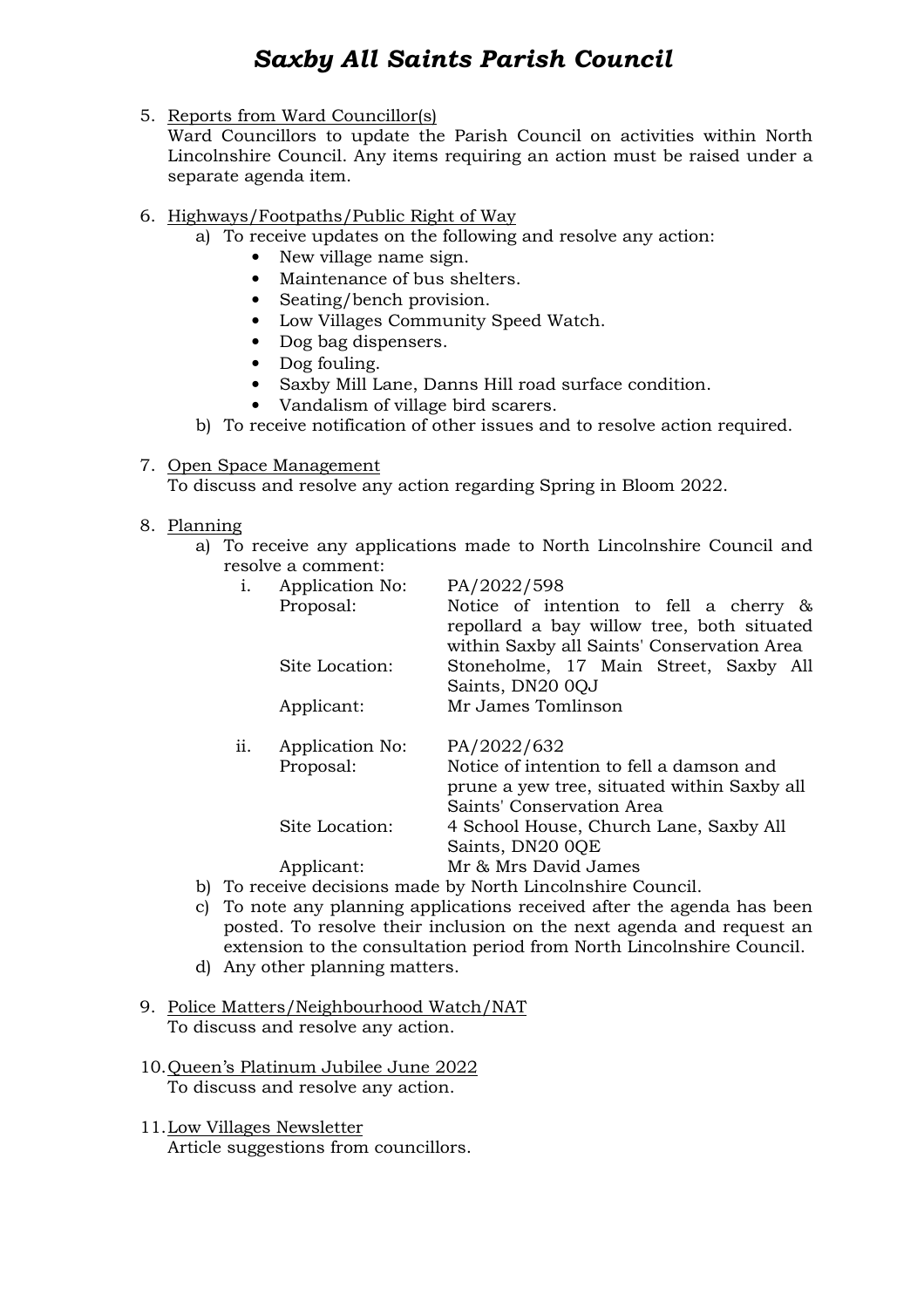# *Saxby All Saints Parish Council*

5. Reports from Ward Councillor(s)

Ward Councillors to update the Parish Council on activities within North Lincolnshire Council. Any items requiring an action must be raised under a separate agenda item.

- 6. Highways/Footpaths/Public Right of Way
	- a) To receive updates on the following and resolve any action:
		- New village name sign.
		- Maintenance of bus shelters.
		- Seating/bench provision.
		- Low Villages Community Speed Watch.
		- Dog bag dispensers.
		- Dog fouling.
		- Saxby Mill Lane, Danns Hill road surface condition.
		- Vandalism of village bird scarers.
	- b) To receive notification of other issues and to resolve action required.

### 7. Open Space Management

To discuss and resolve any action regarding Spring in Bloom 2022.

### 8. Planning

a) To receive any applications made to North Lincolnshire Council and resolve a comment:

| i.  | Application No: | PA/2022/598                                 |
|-----|-----------------|---------------------------------------------|
|     | Proposal:       | Notice of intention to fell a cherry &      |
|     |                 | repollard a bay willow tree, both situated  |
|     |                 | within Saxby all Saints' Conservation Area  |
|     | Site Location:  | Stoneholme, 17 Main Street, Saxby All       |
|     |                 | Saints, DN20 0QJ                            |
|     | Applicant:      | Mr James Tomlinson                          |
| ii. | Application No: | PA/2022/632                                 |
|     | Proposal:       | Notice of intention to fell a damson and    |
|     |                 | prune a yew tree, situated within Saxby all |
|     |                 | Saints' Conservation Area                   |
|     | Site Location:  | 4 School House, Church Lane, Saxby All      |
|     |                 | Saints, DN20 0QE                            |
|     |                 | Mr & Mrs David James                        |
|     | Applicant:      |                                             |

b) To receive decisions made by North Lincolnshire Council.

- c) To note any planning applications received after the agenda has been posted. To resolve their inclusion on the next agenda and request an extension to the consultation period from North Lincolnshire Council.
- d) Any other planning matters.
- 9. Police Matters/Neighbourhood Watch/NAT To discuss and resolve any action.
- 10.Queen's Platinum Jubilee June 2022 To discuss and resolve any action.
- 11.Low Villages Newsletter Article suggestions from councillors.